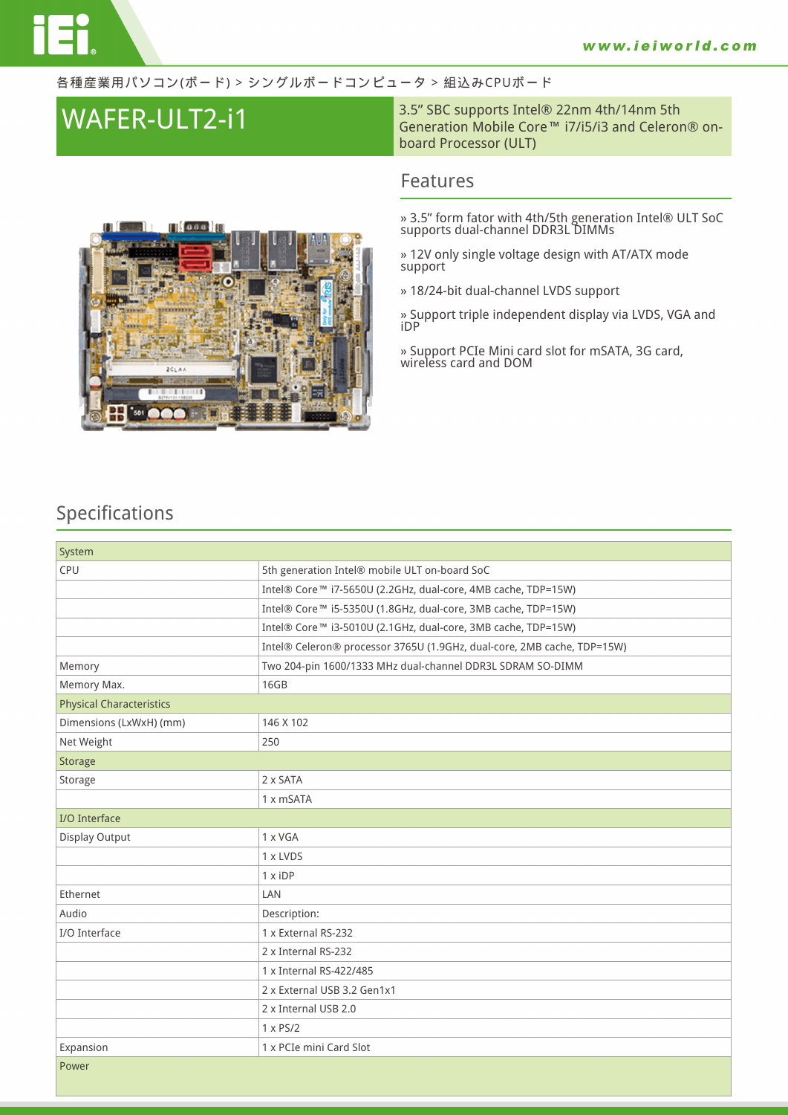#### 各種産業用パソコン(ボード) > シングルボードコンピュータ > 組込みCPUボード

**WAFER-ULT2-i1** 3.5" SBC supports Intel® 22nm 4th/14nm 5th Generation Mobile Core™ i7/i5/i3 and Celeron® onboard Processor (ULT)

### **Features**

**» 3.5" form fator with 4th/5th generation Intel® ULT SoC supports dual-channel DDR3L DIMMs**

**» 12V only single voltage design with AT/ATX mode support**

**» 18/24-bit dual-channel LVDS support**

**» Support triple independent display via LVDS, VGA and iDP**

**» Support PCIe Mini card slot for mSATA, 3G card, wireless card and DOM**



| System                          |                                                                         |  |
|---------------------------------|-------------------------------------------------------------------------|--|
| CPU                             | 5th generation Intel® mobile ULT on-board SoC                           |  |
|                                 | Intel® Core™ i7-5650U (2.2GHz, dual-core, 4MB cache, TDP=15W)           |  |
|                                 | Intel® Core™ i5-5350U (1.8GHz, dual-core, 3MB cache, TDP=15W)           |  |
|                                 | Intel® Core™ i3-5010U (2.1GHz, dual-core, 3MB cache, TDP=15W)           |  |
|                                 | Intel® Celeron® processor 3765U (1.9GHz, dual-core, 2MB cache, TDP=15W) |  |
| Memory                          | Two 204-pin 1600/1333 MHz dual-channel DDR3L SDRAM SO-DIMM              |  |
| Memory Max.                     | 16GB                                                                    |  |
| <b>Physical Characteristics</b> |                                                                         |  |
| Dimensions (LxWxH) (mm)         | 146 X 102                                                               |  |
| Net Weight                      | 250                                                                     |  |
| <b>Storage</b>                  |                                                                         |  |
| Storage                         | 2 x SATA                                                                |  |
|                                 | 1 x mSATA                                                               |  |
| <b>I/O</b> Interface            |                                                                         |  |
| Display Output                  | 1 x VGA                                                                 |  |
|                                 | 1 x LVDS                                                                |  |
|                                 | 1 x iDP                                                                 |  |
| Ethernet                        | LAN                                                                     |  |
| Audio                           | Description:                                                            |  |
| I/O Interface                   | 1 x External RS-232                                                     |  |
|                                 | 2 x Internal RS-232                                                     |  |
|                                 | 1 x Internal RS-422/485                                                 |  |
|                                 | 2 x External USB 3.2 Gen1x1                                             |  |
|                                 | 2 x Internal USB 2.0                                                    |  |
|                                 | $1 \times PS/2$                                                         |  |
| Expansion                       | 1 x PCIe mini Card Slot                                                 |  |
| Power                           |                                                                         |  |